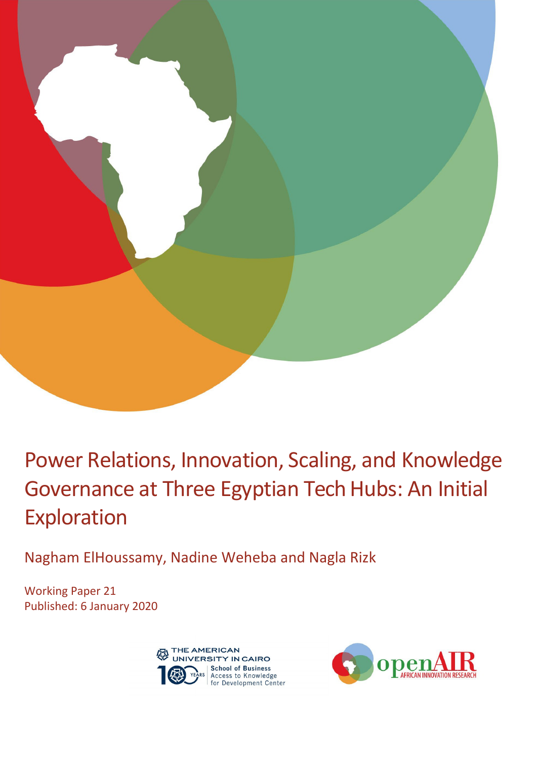

# Power Relations, Innovation, Scaling, and Knowledge Governance at Three Egyptian Tech Hubs: An Initial Exploration

Nagham ElHoussamy, Nadine Weheba and Nagla Rizk

Working Paper 21 Published: 6 January 2020



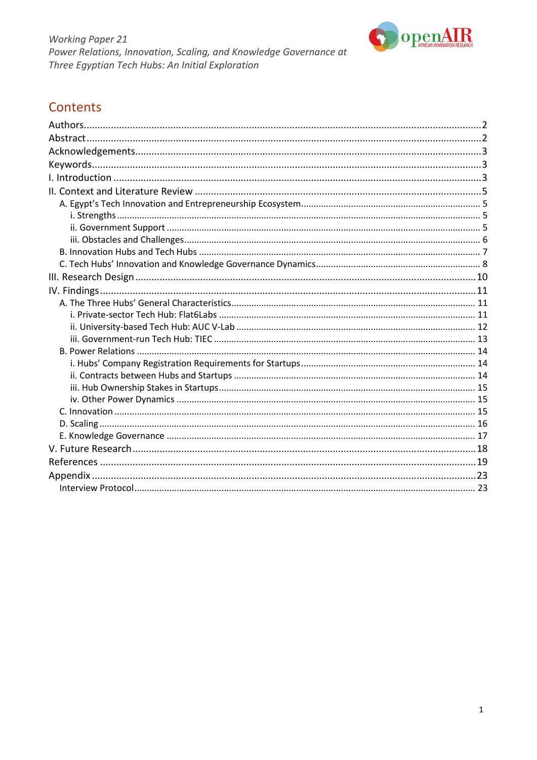

## Contents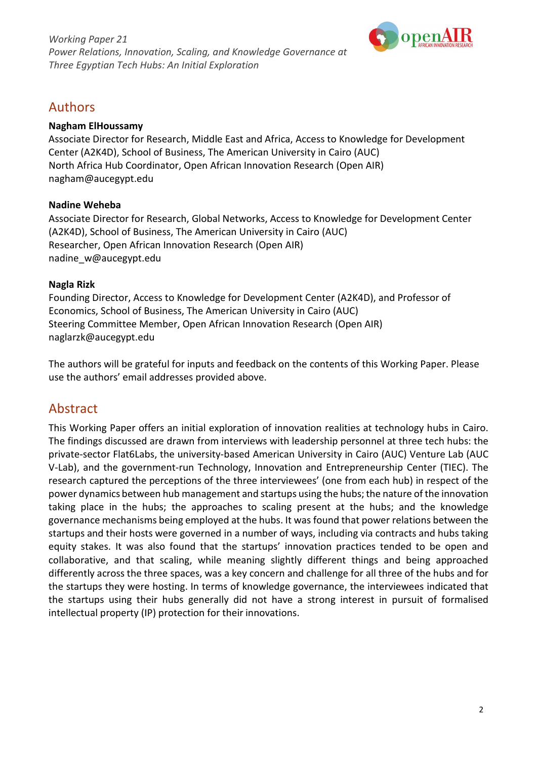

### <span id="page-2-0"></span>Authors

#### **Nagham ElHoussamy**

Associate Director for Research, Middle East and Africa, Access to Knowledge for Development Center (A2K4D), School of Business, The American University in Cairo (AUC) North Africa Hub Coordinator, Open African Innovation Research (Open AIR[\)](mailto:nagham@aucegypt.edu) [nagham@aucegypt.edu](mailto:nagham@aucegypt.edu)

#### **Nadine Weheba**

Associate Director for Research, Global Networks, Access to Knowledge for Development Center (A2K4D), School of Business, The American University in Cairo (AUC) Researcher, Open African Innovation Research (Open AIR) [nadine\\_w@aucegypt.edu](mailto:nadine_w@aucegypt.edu)

#### **Nagla Rizk**

Founding Director, Access to Knowledge for Development Center (A2K4D), and Professor of Economics, School of Business, The American University in Cairo (AUC) Steering Committee Member, Open African Innovation Research (Open AIR[\)](mailto:naglarzk@aucegypt.edu) [naglarzk@aucegypt.edu](mailto:naglarzk@aucegypt.edu)

The authors will be grateful for inputs and feedback on the contents of this Working Paper. Please use the authors' email addresses provided above.

### <span id="page-2-1"></span>Abstract

This Working Paper offers an initial exploration of innovation realities at technology hubs in Cairo. The findings discussed are drawn from interviews with leadership personnel at three tech hubs: the private-sector Flat6Labs, the university-based American University in Cairo (AUC) Venture Lab (AUC V-Lab), and the government-run Technology, Innovation and Entrepreneurship Center (TIEC). The research captured the perceptions of the three interviewees' (one from each hub) in respect of the power dynamics between hub management and startups using the hubs;the nature of the innovation taking place in the hubs; the approaches to scaling present at the hubs; and the knowledge governance mechanisms being employed at the hubs. It was found that power relations between the startups and their hosts were governed in a number of ways, including via contracts and hubs taking equity stakes. It was also found that the startups' innovation practices tended to be open and collaborative, and that scaling, while meaning slightly different things and being approached differently across the three spaces, was a key concern and challenge for all three of the hubs and for the startups they were hosting. In terms of knowledge governance, the interviewees indicated that the startups using their hubs generally did not have a strong interest in pursuit of formalised intellectual property (IP) protection for their innovations.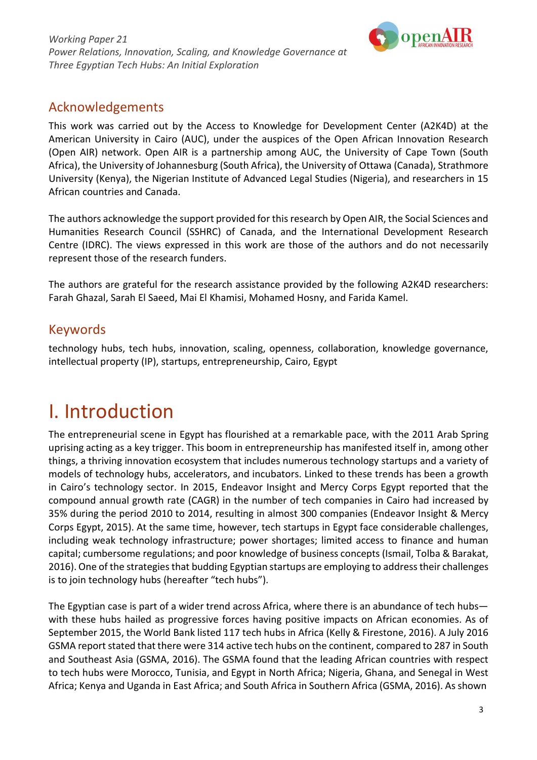<span id="page-3-1"></span>

### <span id="page-3-0"></span>Acknowledgements

This work was carried out by the Access to Knowledge for Development Center (A2K4D) at the American University in Cairo (AUC), under the auspices of the Open African Innovation Research (Open AIR) network. Open AIR is a partnership among AUC, the University of Cape Town (South Africa), the University of Johannesburg (South Africa), the University of Ottawa (Canada), Strathmore University (Kenya), the Nigerian Institute of Advanced Legal Studies (Nigeria), and researchers in 15 African countries and Canada.

The authors acknowledge the support provided for this research by Open AIR, the Social Sciences and Humanities Research Council (SSHRC) of Canada, and the International Development Research Centre (IDRC). The views expressed in this work are those of the authors and do not necessarily represent those of the research funders.

The authors are grateful for the research assistance provided by the following A2K4D researchers: Farah Ghazal, Sarah El Saeed, Mai El Khamisi, Mohamed Hosny, and Farida Kamel.

### Keywords

technology hubs, tech hubs, innovation, scaling, openness, collaboration, knowledge governance, intellectual property (IP), startups, entrepreneurship, Cairo, Egypt

## <span id="page-3-2"></span>I. Introduction

The entrepreneurial scene in Egypt has flourished at a remarkable pace, with the 2011 Arab Spring uprising acting as a key trigger. This boom in entrepreneurship has manifested itself in, among other things, a thriving innovation ecosystem that includes numerous technology startups and a variety of models of technology hubs, accelerators, and incubators. Linked to these trends has been a growth in Cairo's technology sector. In 2015, Endeavor Insight and Mercy Corps Egypt reported that the compound annual growth rate (CAGR) in the number of tech companies in Cairo had increased by 35% during the period 2010 to 2014, resulting in almost 300 companies (Endeavor Insight & Mercy Corps Egypt, 2015). At the same time, however, tech startups in Egypt face considerable challenges, including weak technology infrastructure; power shortages; limited access to finance and human capital; cumbersome regulations; and poor knowledge of business concepts (Ismail, Tolba & Barakat, 2016). One of the strategies that budding Egyptian startups are employing to address their challenges is to join technology hubs (hereafter "tech hubs").

The Egyptian case is part of a wider trend across Africa, where there is an abundance of tech hubs with these hubs hailed as progressive forces having positive impacts on African economies. As of September 2015, the World Bank listed 117 tech hubs in Africa (Kelly & Firestone, 2016). A July 2016 GSMA report stated that there were 314 active tech hubs on the continent, compared to 287 in South and Southeast Asia (GSMA, 2016). The GSMA found that the leading African countries with respect to tech hubs were Morocco, Tunisia, and Egypt in North Africa; Nigeria, Ghana, and Senegal in West Africa; Kenya and Uganda in East Africa; and South Africa in Southern Africa (GSMA, 2016). As shown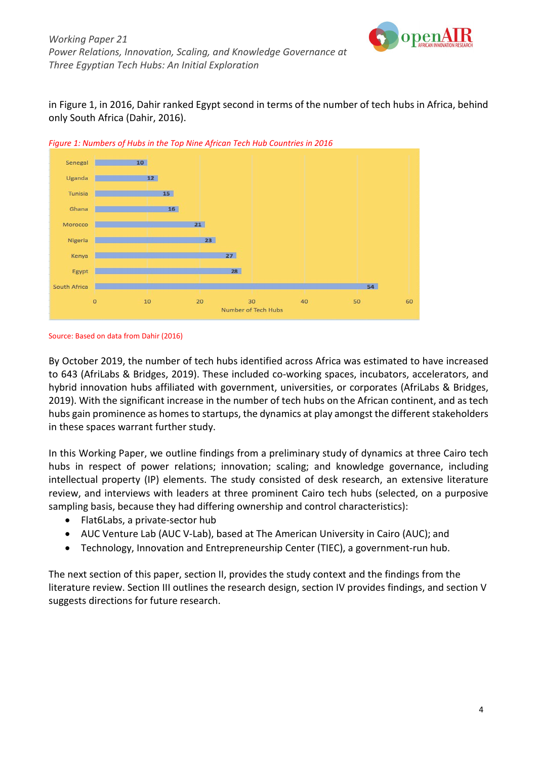

in Figure 1, in 2016, Dahir ranked Egypt second in terms of the number of tech hubs in Africa, behind only South Africa (Dahir, 2016).



*Figure 1: Numbers of Hubs in the Top Nine African Tech Hub Countries in 2016*

Source: Based on data from Dahir (2016)

By October 2019, the number of tech hubs identified across Africa was estimated to have increased to 643 (AfriLabs & Bridges, 2019). These included co-working spaces, incubators, accelerators, and hybrid innovation hubs affiliated with government, universities, or corporates (AfriLabs & Bridges, 2019). With the significant increase in the number of tech hubs on the African continent, and as tech hubs gain prominence as homes to startups, the dynamics at play amongst the different stakeholders in these spaces warrant further study.

In this Working Paper, we outline findings from a preliminary study of dynamics at three Cairo tech hubs in respect of power relations; innovation; scaling; and knowledge governance, including intellectual property (IP) elements. The study consisted of desk research, an extensive literature review, and interviews with leaders at three prominent Cairo tech hubs (selected, on a purposive sampling basis, because they had differing ownership and control characteristics):

- Flat6Labs, a private-sector hub
- AUC Venture Lab (AUC V-Lab), based at The American University in Cairo (AUC); and
- Technology, Innovation and Entrepreneurship Center (TIEC), a government-run hub.

The next section of this paper, section II, provides the study context and the findings from the literature review. Section III outlines the research design, section IV provides findings, and section V suggests directions for future research.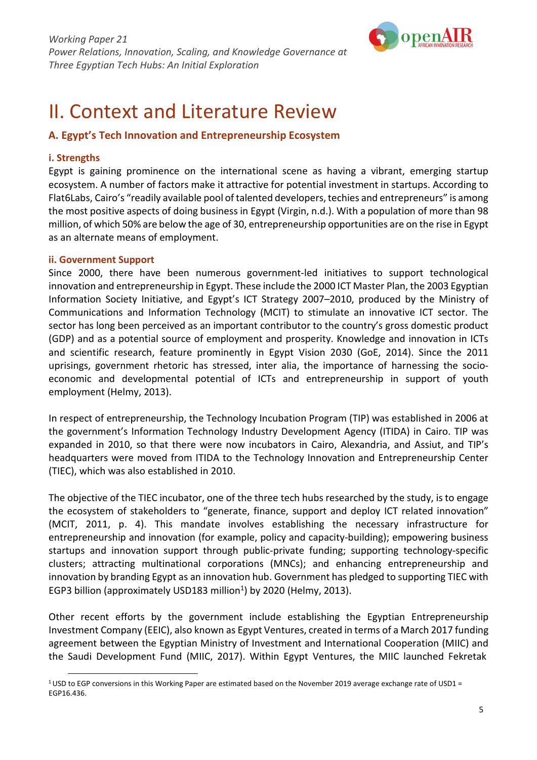<span id="page-5-3"></span>

## <span id="page-5-0"></span>II. Context and Literature Review

#### <span id="page-5-1"></span>**A. Egypt's Tech Innovation and Entrepreneurship Ecosystem**

#### <span id="page-5-2"></span>**i. Strengths**

Egypt is gaining prominence on the international scene as having a vibrant, emerging startup ecosystem. A number of factors make it attractive for potential investment in startups. According to Flat6Labs, Cairo's "readily available pool of talented developers, techies and entrepreneurs" is among the most positive aspects of doing business in Egypt (Virgin, n.d.). With a population of more than 98 million, of which 50% are below the age of 30, entrepreneurship opportunities are on the rise in Egypt as an alternate means of employment.

#### **ii. Government Support**

Since 2000, there have been numerous government-led initiatives to support technological innovation and entrepreneurship in Egypt. These include the 2000 ICT Master Plan, the 2003 Egyptian Information Society Initiative, and Egypt's ICT Strategy 2007–2010, produced by the Ministry of Communications and Information Technology (MCIT) to stimulate an innovative ICT sector. The sector has long been perceived as an important contributor to the country's gross domestic product (GDP) and as a potential source of employment and prosperity. Knowledge and innovation in ICTs and scientific research, feature prominently in Egypt Vision 2030 (GoE, 2014). Since the 2011 uprisings, government rhetoric has stressed, inter alia, the importance of harnessing the socioeconomic and developmental potential of ICTs and entrepreneurship in support of youth employment (Helmy, 2013).

In respect of entrepreneurship, the Technology Incubation Program (TIP) was established in 2006 at the government's Information Technology Industry Development Agency (ITIDA) in Cairo. TIP was expanded in 2010, so that there were now incubators in Cairo, Alexandria, and Assiut, and TIP's headquarters were moved from ITIDA to the Technology Innovation and Entrepreneurship Center (TIEC), which was also established in 2010.

The objective of the TIEC incubator, one of the three tech hubs researched by the study, is to engage the ecosystem of stakeholders to "generate, finance, support and deploy ICT related innovation" (MCIT, 2011, p. 4). This mandate involves establishing the necessary infrastructure for entrepreneurship and innovation (for example, policy and capacity-building); empowering business startups and innovation support through public-private funding; supporting technology-specific clusters; attracting multinational corporations (MNCs); and enhancing entrepreneurship and innovation by branding Egypt as an innovation hub. Government has pledged to supporting TIEC with EGP3 billion (approximately USD183 million<sup>1</sup>) by 2020 (Helmy, 2013).

Other recent efforts by the government include establishing the Egyptian Entrepreneurship Investment Company (EEIC), also known as Egypt Ventures, created in terms of a March 2017 funding agreement between the Egyptian Ministry of Investment and International Cooperation (MIIC) and the Saudi Development Fund (MIIC, 2017). Within Egypt Ventures, the MIIC launched Fekretak

<span id="page-5-4"></span><sup>1</sup> USD to EGP conversions in this Working Paper are estimated based on the November 2019 average exchange rate of USD1 = EGP16.436.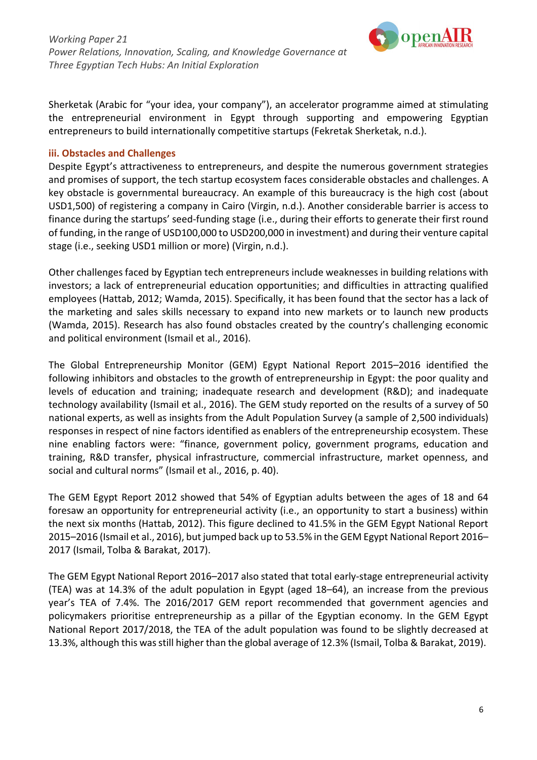

Sherketak (Arabic for "your idea, your company"), an accelerator programme aimed at stimulating the entrepreneurial environment in Egypt through supporting and empowering Egyptian entrepreneurs to build internationally competitive startups (Fekretak Sherketak, n.d.).

#### <span id="page-6-0"></span>**iii. Obstacles and Challenges**

Despite Egypt's attractiveness to entrepreneurs, and despite the numerous government strategies and promises of support, the tech startup ecosystem faces considerable obstacles and challenges. A key obstacle is governmental bureaucracy. An example of this bureaucracy is the high cost (about USD1,500) of registering a company in Cairo (Virgin, n.d.). Another considerable barrier is access to finance during the startups' seed-funding stage (i.e., during their efforts to generate their first round of funding, in the range of USD100,000 to USD200,000 in investment) and during their venture capital stage (i.e., seeking USD1 million or more) (Virgin, n.d.).

Other challenges faced by Egyptian tech entrepreneurs include weaknesses in building relations with investors; a lack of entrepreneurial education opportunities; and difficulties in attracting qualified employees (Hattab, 2012; Wamda, 2015). Specifically, it has been found that the sector has a lack of the marketing and sales skills necessary to expand into new markets or to launch new products (Wamda, 2015). Research has also found obstacles created by the country's challenging economic and political environment (Ismail et al., 2016).

The Global Entrepreneurship Monitor (GEM) Egypt National Report 2015–2016 identified the following inhibitors and obstacles to the growth of entrepreneurship in Egypt: the poor quality and levels of education and training; inadequate research and development (R&D); and inadequate technology availability (Ismail et al., 2016). The GEM study reported on the results of a survey of 50 national experts, as well as insights from the Adult Population Survey (a sample of 2,500 individuals) responses in respect of nine factors identified as enablers of the entrepreneurship ecosystem. These nine enabling factors were: "finance, government policy, government programs, education and training, R&D transfer, physical infrastructure, commercial infrastructure, market openness, and social and cultural norms" (Ismail et al., 2016, p. 40).

The GEM Egypt Report 2012 showed that 54% of Egyptian adults between the ages of 18 and 64 foresaw an opportunity for entrepreneurial activity (i.e., an opportunity to start a business) within the next six months (Hattab, 2012). This figure declined to 41.5% in the GEM Egypt National Report 2015–2016 (Ismail et al., 2016), but jumped back up to 53.5% in the GEM Egypt National Report 2016– 2017 (Ismail, Tolba & Barakat, 2017).

The GEM Egypt National Report 2016–2017 also stated that total early-stage entrepreneurial activity (TEA) was at 14.3% of the adult population in Egypt (aged 18–64), an increase from the previous year's TEA of 7.4%. The 2016/2017 GEM report recommended that government agencies and policymakers prioritise entrepreneurship as a pillar of the Egyptian economy. In the GEM Egypt National Report 2017/2018, the TEA of the adult population was found to be slightly decreased at 13.3%, although this wasstill higher than the global average of 12.3% (Ismail, Tolba & Barakat, 2019).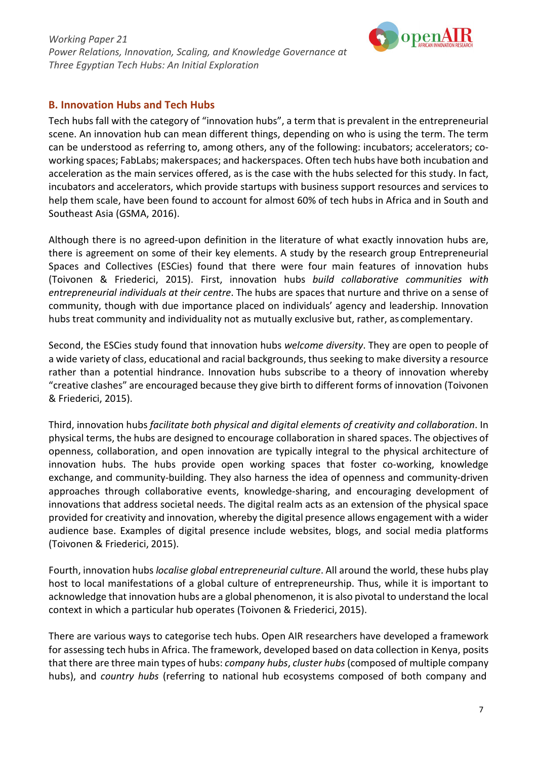

#### <span id="page-7-0"></span>**B. Innovation Hubs and Tech Hubs**

Tech hubs fall with the category of "innovation hubs", a term that is prevalent in the entrepreneurial scene. An innovation hub can mean different things, depending on who is using the term. The term can be understood as referring to, among others, any of the following: incubators; accelerators; coworking spaces; FabLabs; makerspaces; and hackerspaces. Often tech hubs have both incubation and acceleration as the main services offered, as is the case with the hubs selected for this study. In fact, incubators and accelerators, which provide startups with business support resources and services to help them scale, have been found to account for almost 60% of tech hubs in Africa and in South and Southeast Asia (GSMA, 2016).

Although there is no agreed-upon definition in the literature of what exactly innovation hubs are, there is agreement on some of their key elements. A study by the research group Entrepreneurial Spaces and Collectives (ESCies) found that there were four main features of innovation hubs (Toivonen & Friederici, 2015). First, innovation hubs *build collaborative communities with entrepreneurial individuals at their centre*. The hubs are spaces that nurture and thrive on a sense of community, though with due importance placed on individuals' agency and leadership. Innovation hubs treat community and individuality not as mutually exclusive but, rather, as complementary.

Second, the ESCies study found that innovation hubs *welcome diversity*. They are open to people of a wide variety of class, educational and racial backgrounds, thus seeking to make diversity a resource rather than a potential hindrance. Innovation hubs subscribe to a theory of innovation whereby "creative clashes" are encouraged because they give birth to different forms of innovation (Toivonen & Friederici, 2015).

Third, innovation hubs *facilitate both physical and digital elements of creativity and collaboration*. In physical terms, the hubs are designed to encourage collaboration in shared spaces. The objectives of openness, collaboration, and open innovation are typically integral to the physical architecture of innovation hubs. The hubs provide open working spaces that foster co-working, knowledge exchange, and community-building. They also harness the idea of openness and community-driven approaches through collaborative events, knowledge-sharing, and encouraging development of innovations that address societal needs. The digital realm acts as an extension of the physical space provided for creativity and innovation, whereby the digital presence allows engagement with a wider audience base. Examples of digital presence include websites, blogs, and social media platforms (Toivonen & Friederici, 2015).

Fourth, innovation hubs *localise global entrepreneurial culture*. All around the world, these hubs play host to local manifestations of a global culture of entrepreneurship. Thus, while it is important to acknowledge that innovation hubs are a global phenomenon, it is also pivotal to understand the local context in which a particular hub operates (Toivonen & Friederici, 2015).

There are various ways to categorise tech hubs. Open AIR researchers have developed a framework for assessing tech hubs in Africa. The framework, developed based on data collection in Kenya, posits that there are three main types of hubs: *company hubs*, *cluster hubs* (composed of multiple company hubs), and *country hubs* (referring to national hub ecosystems composed of both company and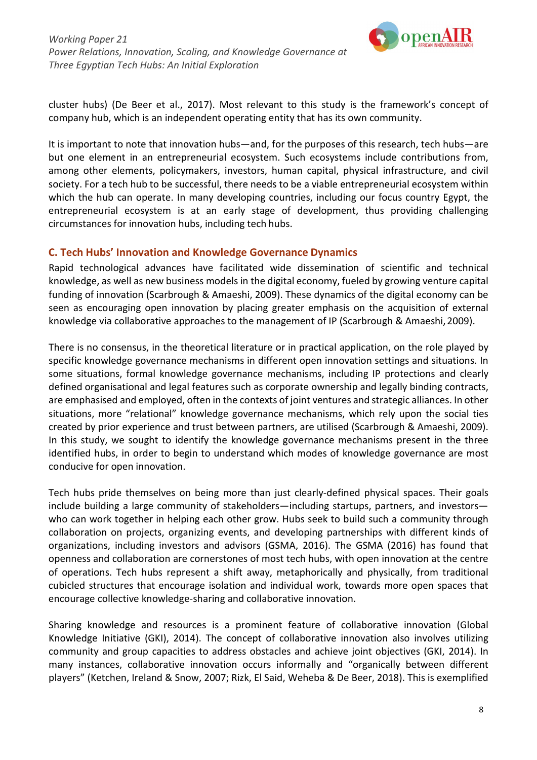

cluster hubs) (De Beer et al., 2017). Most relevant to this study is the framework's concept of company hub, which is an independent operating entity that has its own community.

It is important to note that innovation hubs—and, for the purposes of this research, tech hubs—are but one element in an entrepreneurial ecosystem. Such ecosystems include contributions from, among other elements, policymakers, investors, human capital, physical infrastructure, and civil society. For a tech hub to be successful, there needs to be a viable entrepreneurial ecosystem within which the hub can operate. In many developing countries, including our focus country Egypt, the entrepreneurial ecosystem is at an early stage of development, thus providing challenging circumstances for innovation hubs, including tech hubs.

#### <span id="page-8-0"></span>**C. Tech Hubs' Innovation and Knowledge Governance Dynamics**

Rapid technological advances have facilitated wide dissemination of scientific and technical knowledge, as well as new business models in the digital economy, fueled by growing venture capital funding of innovation (Scarbrough & Amaeshi, 2009). These dynamics of the digital economy can be seen as encouraging open innovation by placing greater emphasis on the acquisition of external knowledge via collaborative approaches to the management of IP (Scarbrough & Amaeshi, 2009).

There is no consensus, in the theoretical literature or in practical application, on the role played by specific knowledge governance mechanisms in different open innovation settings and situations. In some situations, formal knowledge governance mechanisms, including IP protections and clearly defined organisational and legal features such as corporate ownership and legally binding contracts, are emphasised and employed, often in the contexts of joint ventures and strategic alliances. In other situations, more "relational" knowledge governance mechanisms, which rely upon the social ties created by prior experience and trust between partners, are utilised (Scarbrough & Amaeshi, 2009). In this study, we sought to identify the knowledge governance mechanisms present in the three identified hubs, in order to begin to understand which modes of knowledge governance are most conducive for open innovation.

Tech hubs pride themselves on being more than just clearly-defined physical spaces. Their goals include building a large community of stakeholders—including startups, partners, and investors who can work together in helping each other grow. Hubs seek to build such a community through collaboration on projects, organizing events, and developing partnerships with different kinds of organizations, including investors and advisors (GSMA, 2016). The GSMA (2016) has found that openness and collaboration are cornerstones of most tech hubs, with open innovation at the centre of operations. Tech hubs represent a shift away, metaphorically and physically, from traditional cubicled structures that encourage isolation and individual work, towards more open spaces that encourage collective knowledge-sharing and collaborative innovation.

Sharing knowledge and resources is a prominent feature of collaborative innovation (Global Knowledge Initiative (GKI), 2014). The concept of collaborative innovation also involves utilizing community and group capacities to address obstacles and achieve joint objectives (GKI, 2014). In many instances, collaborative innovation occurs informally and "organically between different players" (Ketchen, Ireland & Snow, 2007; Rizk, El Said, Weheba & De Beer, 2018). This is exemplified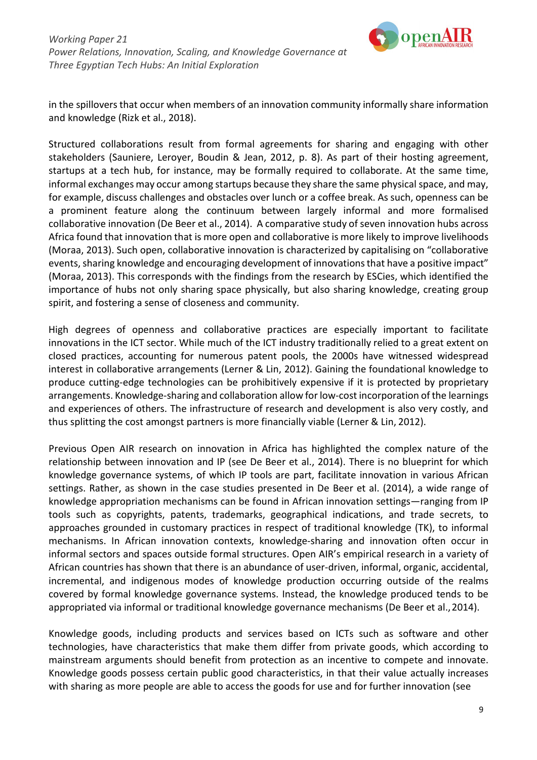

in the spillovers that occur when members of an innovation community informally share information and knowledge (Rizk et al., 2018).

Structured collaborations result from formal agreements for sharing and engaging with other stakeholders (Sauniere, Leroyer, Boudin & Jean, 2012, p. 8). As part of their hosting agreement, startups at a tech hub, for instance, may be formally required to collaborate. At the same time, informal exchanges may occur among startups because they share the same physical space, and may, for example, discuss challenges and obstacles over lunch or a coffee break. As such, openness can be a prominent feature along the continuum between largely informal and more formalised collaborative innovation (De Beer et al., 2014). A comparative study of seven innovation hubs across Africa found that innovation that is more open and collaborative is more likely to improve livelihoods (Moraa, 2013). Such open, collaborative innovation is characterized by capitalising on "collaborative events, sharing knowledge and encouraging development of innovations that have a positive impact" (Moraa, 2013). This corresponds with the findings from the research by ESCies, which identified the importance of hubs not only sharing space physically, but also sharing knowledge, creating group spirit, and fostering a sense of closeness and community.

High degrees of openness and collaborative practices are especially important to facilitate innovations in the ICT sector. While much of the ICT industry traditionally relied to a great extent on closed practices, accounting for numerous patent pools, the 2000s have witnessed widespread interest in collaborative arrangements (Lerner & Lin, 2012). Gaining the foundational knowledge to produce cutting-edge technologies can be prohibitively expensive if it is protected by proprietary arrangements. Knowledge-sharing and collaboration allow for low-cost incorporation of the learnings and experiences of others. The infrastructure of research and development is also very costly, and thus splitting the cost amongst partners is more financially viable (Lerner & Lin, 2012).

Previous Open AIR research on innovation in Africa has highlighted the complex nature of the relationship between innovation and IP (see De Beer et al., 2014). There is no blueprint for which knowledge governance systems, of which IP tools are part, facilitate innovation in various African settings. Rather, as shown in the case studies presented in De Beer et al. (2014), a wide range of knowledge appropriation mechanisms can be found in African innovation settings—ranging from IP tools such as copyrights, patents, trademarks, geographical indications, and trade secrets, to approaches grounded in customary practices in respect of traditional knowledge (TK), to informal mechanisms. In African innovation contexts, knowledge-sharing and innovation often occur in informal sectors and spaces outside formal structures. Open AIR's empirical research in a variety of African countries has shown that there is an abundance of user-driven, informal, organic, accidental, incremental, and indigenous modes of knowledge production occurring outside of the realms covered by formal knowledge governance systems. Instead, the knowledge produced tends to be appropriated via informal or traditional knowledge governance mechanisms (De Beer et al.,2014).

Knowledge goods, including products and services based on ICTs such as software and other technologies, have characteristics that make them differ from private goods, which according to mainstream arguments should benefit from protection as an incentive to compete and innovate. Knowledge goods possess certain public good characteristics, in that their value actually increases with sharing as more people are able to access the goods for use and for further innovation (see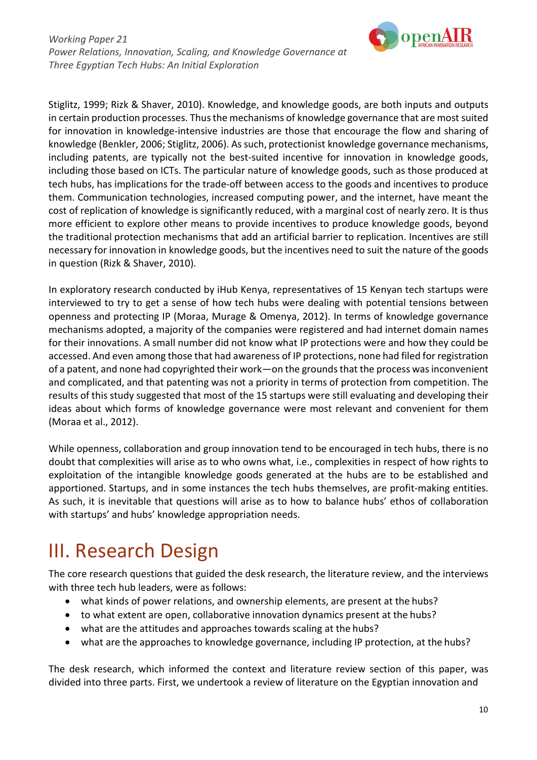

Stiglitz, 1999; Rizk & Shaver, 2010). Knowledge, and knowledge goods, are both inputs and outputs in certain production processes. Thus the mechanisms of knowledge governance that are most suited for innovation in knowledge-intensive industries are those that encourage the flow and sharing of knowledge (Benkler, 2006; Stiglitz, 2006). Assuch, protectionist knowledge governance mechanisms, including patents, are typically not the best-suited incentive for innovation in knowledge goods, including those based on ICTs. The particular nature of knowledge goods, such as those produced at tech hubs, has implications for the trade-off between access to the goods and incentives to produce them. Communication technologies, increased computing power, and the internet, have meant the cost of replication of knowledge is significantly reduced, with a marginal cost of nearly zero. It is thus more efficient to explore other means to provide incentives to produce knowledge goods, beyond the traditional protection mechanisms that add an artificial barrier to replication. Incentives are still necessary for innovation in knowledge goods, but the incentives need to suit the nature of the goods in question (Rizk & Shaver, 2010).

In exploratory research conducted by iHub Kenya, representatives of 15 Kenyan tech startups were interviewed to try to get a sense of how tech hubs were dealing with potential tensions between openness and protecting IP (Moraa, Murage & Omenya, 2012). In terms of knowledge governance mechanisms adopted, a majority of the companies were registered and had internet domain names for their innovations. A small number did not know what IP protections were and how they could be accessed. And even among those that had awareness of IP protections, none had filed for registration of a patent, and none had copyrighted their work—on the grounds that the process was inconvenient and complicated, and that patenting was not a priority in terms of protection from competition. The results of this study suggested that most of the 15 startups were still evaluating and developing their ideas about which forms of knowledge governance were most relevant and convenient for them (Moraa et al., 2012).

While openness, collaboration and group innovation tend to be encouraged in tech hubs, there is no doubt that complexities will arise as to who owns what, i.e., complexities in respect of how rights to exploitation of the intangible knowledge goods generated at the hubs are to be established and apportioned. Startups, and in some instances the tech hubs themselves, are profit-making entities. As such, it is inevitable that questions will arise as to how to balance hubs' ethos of collaboration with startups' and hubs' knowledge appropriation needs.

## <span id="page-10-0"></span>III. Research Design

The core research questions that guided the desk research, the literature review, and the interviews with three tech hub leaders, were as follows:

- what kinds of power relations, and ownership elements, are present at the hubs?
- to what extent are open, collaborative innovation dynamics present at the hubs?
- what are the attitudes and approaches towards scaling at the hubs?
- what are the approaches to knowledge governance, including IP protection, at the hubs?

The desk research, which informed the context and literature review section of this paper, was divided into three parts. First, we undertook a review of literature on the Egyptian innovation and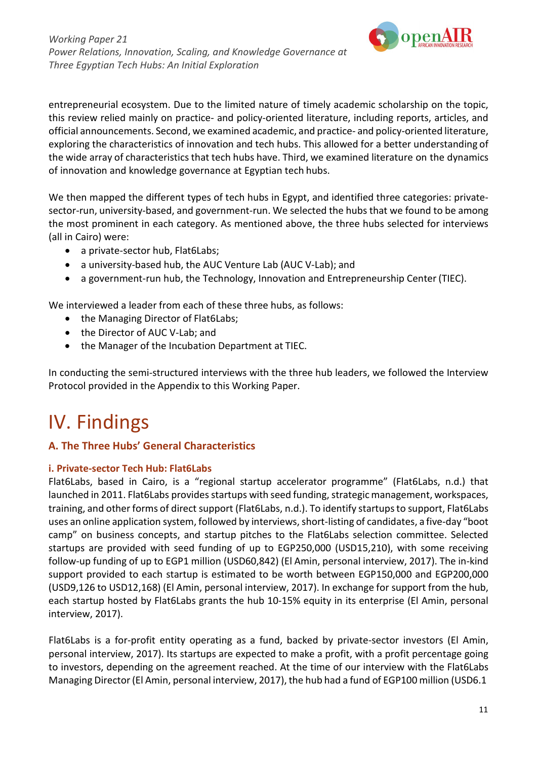

entrepreneurial ecosystem. Due to the limited nature of timely academic scholarship on the topic, this review relied mainly on practice- and policy-oriented literature, including reports, articles, and official announcements. Second, we examined academic, and practice- and policy-oriented literature, exploring the characteristics of innovation and tech hubs. This allowed for a better understanding of the wide array of characteristics that tech hubs have. Third, we examined literature on the dynamics of innovation and knowledge governance at Egyptian tech hubs.

We then mapped the different types of tech hubs in Egypt, and identified three categories: privatesector-run, university-based, and government-run. We selected the hubs that we found to be among the most prominent in each category. As mentioned above, the three hubs selected for interviews (all in Cairo) were:

- a private-sector hub, Flat6Labs;
- a university-based hub, the AUC Venture Lab (AUC V-Lab); and
- a government-run hub, the Technology, Innovation and Entrepreneurship Center (TIEC).

We interviewed a leader from each of these three hubs, as follows:

- the Managing Director of Flat6Labs;
- the Director of AUC V-Lab; and
- the Manager of the Incubation Department at TIEC.

In conducting the semi-structured interviews with the three hub leaders, we followed the Interview Protocol provided in the Appendix to this Working Paper.

## <span id="page-11-0"></span>IV. Findings

#### <span id="page-11-1"></span>**A. The Three Hubs' General Characteristics**

#### <span id="page-11-2"></span>**i. Private-sector Tech Hub: Flat6Labs**

Flat6Labs, based in Cairo, is a "regional startup accelerator programme" (Flat6Labs, n.d.) that launched in 2011. Flat6Labs provides startups with seed funding, strategic management, workspaces, training, and other forms of direct support (Flat6Labs, n.d.). To identify startupsto support, Flat6Labs uses an online application system, followed by interviews, short-listing of candidates, a five-day "boot camp" on business concepts, and startup pitches to the Flat6Labs selection committee. Selected startups are provided with seed funding of up to EGP250,000 (USD15,210), with some receiving follow-up funding of up to EGP1 million (USD60,842) (El Amin, personal interview, 2017). The in-kind support provided to each startup is estimated to be worth between EGP150,000 and EGP200,000 (USD9,126 to USD12,168) (El Amin, personal interview, 2017). In exchange for support from the hub, each startup hosted by Flat6Labs grants the hub 10-15% equity in its enterprise (El Amin, personal interview, 2017).

Flat6Labs is a for-profit entity operating as a fund, backed by private-sector investors (El Amin, personal interview, 2017). Its startups are expected to make a profit, with a profit percentage going to investors, depending on the agreement reached. At the time of our interview with the Flat6Labs Managing Director(El Amin, personal interview, 2017), the hub had a fund of EGP100 million (USD6.1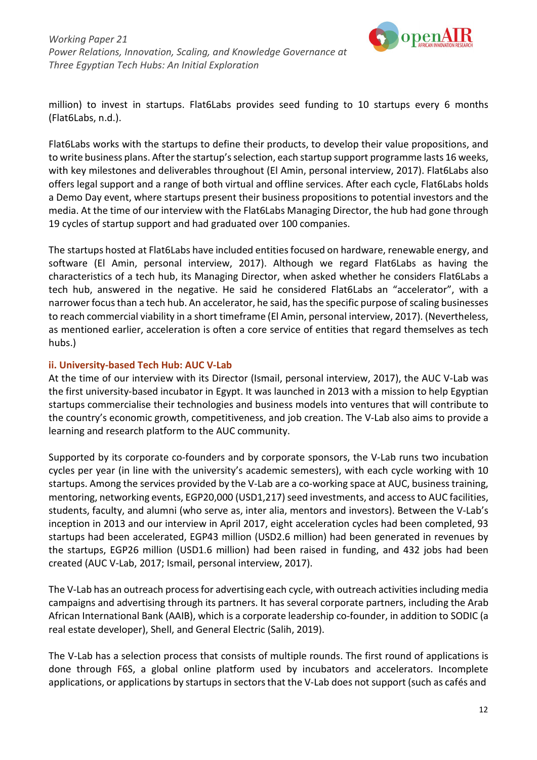

million) to invest in startups. Flat6Labs provides seed funding to 10 startups every 6 months (Flat6Labs, n.d.).

Flat6Labs works with the startups to define their products, to develop their value propositions, and to write business plans. After the startup's selection, each startup support programme lasts 16 weeks, with key milestones and deliverables throughout (El Amin, personal interview, 2017). Flat6Labs also offers legal support and a range of both virtual and offline services. After each cycle, Flat6Labs holds a Demo Day event, where startups present their business propositions to potential investors and the media. At the time of our interview with the Flat6Labs Managing Director, the hub had gone through 19 cycles of startup support and had graduated over 100 companies.

The startups hosted at Flat6Labs have included entitiesfocused on hardware, renewable energy, and software (El Amin, personal interview, 2017). Although we regard Flat6Labs as having the characteristics of a tech hub, its Managing Director, when asked whether he considers Flat6Labs a tech hub, answered in the negative. He said he considered Flat6Labs an "accelerator", with a narrower focus than a tech hub. An accelerator, he said, has the specific purpose of scaling businesses to reach commercial viability in a short timeframe (El Amin, personal interview, 2017). (Nevertheless, as mentioned earlier, acceleration is often a core service of entities that regard themselves as tech hubs.)

#### <span id="page-12-0"></span>**ii. University-based Tech Hub: AUC V-Lab**

At the time of our interview with its Director (Ismail, personal interview, 2017), the AUC V-Lab was the first university-based incubator in Egypt. It was launched in 2013 with a mission to help Egyptian startups commercialise their technologies and business models into ventures that will contribute to the country's economic growth, competitiveness, and job creation. The V-Lab also aims to provide a learning and research platform to the AUC community.

Supported by its corporate co-founders and by corporate sponsors, the V-Lab runs two incubation cycles per year (in line with the university's academic semesters), with each cycle working with 10 startups. Among the services provided by the V-Lab are a co-working space at AUC, business training, mentoring, networking events, EGP20,000 (USD1,217) seed investments, and access to AUC facilities, students, faculty, and alumni (who serve as, inter alia, mentors and investors). Between the V-Lab's inception in 2013 and our interview in April 2017, eight acceleration cycles had been completed, 93 startups had been accelerated, EGP43 million (USD2.6 million) had been generated in revenues by the startups, EGP26 million (USD1.6 million) had been raised in funding, and 432 jobs had been created (AUC V-Lab, 2017; Ismail, personal interview, 2017).

The V-Lab has an outreach process for advertising each cycle, with outreach activities including media campaigns and advertising through its partners. It has several corporate partners, including the Arab African International Bank (AAIB), which is a corporate leadership co-founder, in addition to SODIC (a real estate developer), Shell, and General Electric (Salih, 2019).

The V-Lab has a selection process that consists of multiple rounds. The first round of applications is done through F6S, a global online platform used by incubators and accelerators. Incomplete applications, or applications by startups in sectors that the V-Lab does not support (such as cafés and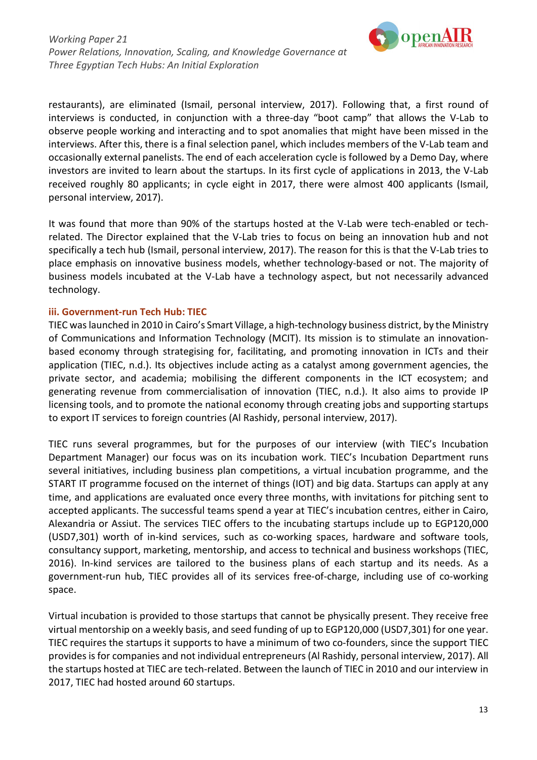<span id="page-13-0"></span>

restaurants), are eliminated (Ismail, personal interview, 2017). Following that, a first round of interviews is conducted, in conjunction with a three-day "boot camp" that allows the V-Lab to observe people working and interacting and to spot anomalies that might have been missed in the interviews. After this, there is a final selection panel, which includes members of the V-Lab team and occasionally external panelists. The end of each acceleration cycle is followed by a Demo Day, where investors are invited to learn about the startups. In its first cycle of applications in 2013, the V-Lab received roughly 80 applicants; in cycle eight in 2017, there were almost 400 applicants (Ismail, personal interview, 2017).

It was found that more than 90% of the startups hosted at the V-Lab were tech-enabled or techrelated. The Director explained that the V-Lab tries to focus on being an innovation hub and not specifically a tech hub (Ismail, personal interview, 2017). The reason for this is that the V-Lab tries to place emphasis on innovative business models, whether technology-based or not. The majority of business models incubated at the V-Lab have a technology aspect, but not necessarily advanced technology.

#### **iii. Government-run Tech Hub: TIEC**

TIEC waslaunched in 2010 in Cairo's Smart Village, a high-technology business district, by the Ministry of Communications and Information Technology (MCIT). Its mission is to stimulate an innovationbased economy through strategising for, facilitating, and promoting innovation in ICTs and their application (TIEC, n.d.). Its objectives include acting as a catalyst among government agencies, the private sector, and academia; mobilising the different components in the ICT ecosystem; and generating revenue from commercialisation of innovation (TIEC, n.d.). It also aims to provide IP licensing tools, and to promote the national economy through creating jobs and supporting startups to export IT services to foreign countries (Al Rashidy, personal interview, 2017).

TIEC runs several programmes, but for the purposes of our interview (with TIEC's Incubation Department Manager) our focus was on its incubation work. TIEC's Incubation Department runs several initiatives, including business plan competitions, a virtual incubation programme, and the START IT programme focused on the internet of things (IOT) and big data. Startups can apply at any time, and applications are evaluated once every three months, with invitations for pitching sent to accepted applicants. The successful teams spend a year at TIEC's incubation centres, either in Cairo, Alexandria or Assiut. The services TIEC offers to the incubating startups include up to EGP120,000 (USD7,301) worth of in-kind services, such as co-working spaces, hardware and software tools, consultancy support, marketing, mentorship, and access to technical and business workshops (TIEC, 2016). In-kind services are tailored to the business plans of each startup and its needs. As a government-run hub, TIEC provides all of its services free-of-charge, including use of co-working space.

Virtual incubation is provided to those startups that cannot be physically present. They receive free virtual mentorship on a weekly basis, and seed funding of up to EGP120,000 (USD7,301) for one year. TIEC requires the startups it supports to have a minimum of two co-founders, since the support TIEC provides is for companies and not individual entrepreneurs (Al Rashidy, personal interview, 2017). All the startups hosted at TIEC are tech-related. Between the launch of TIEC in 2010 and our interview in 2017, TIEC had hosted around 60 startups.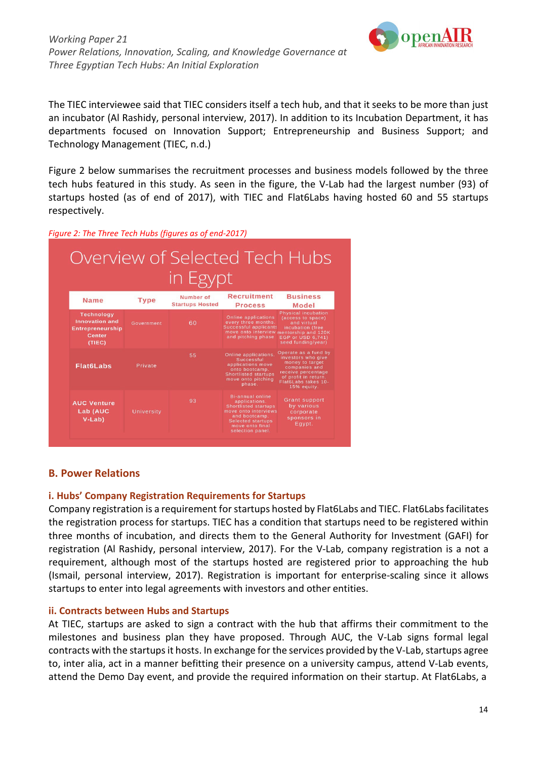

The TIEC interviewee said that TIEC considers itself a tech hub, and that it seeks to be more than just an incubator (Al Rashidy, personal interview, 2017). In addition to its Incubation Department, it has departments focused on Innovation Support; Entrepreneurship and Business Support; and Technology Management (TIEC, n.d.)

Figure 2 below summarises the recruitment processes and business models followed by the three tech hubs featured in this study. As seen in the figure, the V-Lab had the largest number (93) of startups hosted (as of end of 2017), with TIEC and Flat6Labs having hosted 60 and 55 startups respectively.





#### <span id="page-14-0"></span>**B. Power Relations**

#### <span id="page-14-1"></span>**i. Hubs' Company Registration Requirements for Startups**

Company registration is a requirement for startups hosted by Flat6Labs and TIEC. Flat6Labs facilitates the registration process for startups. TIEC has a condition that startups need to be registered within three months of incubation, and directs them to the General Authority for Investment (GAFI) for registration (Al Rashidy, personal interview, 2017). For the V-Lab, company registration is a not a requirement, although most of the startups hosted are registered prior to approaching the hub (Ismail, personal interview, 2017). Registration is important for enterprise-scaling since it allows startups to enter into legal agreements with investors and other entities.

#### <span id="page-14-2"></span>**ii. Contracts between Hubs and Startups**

At TIEC, startups are asked to sign a contract with the hub that affirms their commitment to the milestones and business plan they have proposed. Through AUC, the V-Lab signs formal legal contracts with the startups it hosts. In exchange for the services provided by the V-Lab, startups agree to, inter alia, act in a manner befitting their presence on a university campus, attend V-Lab events, attend the Demo Day event, and provide the required information on their startup. At Flat6Labs, a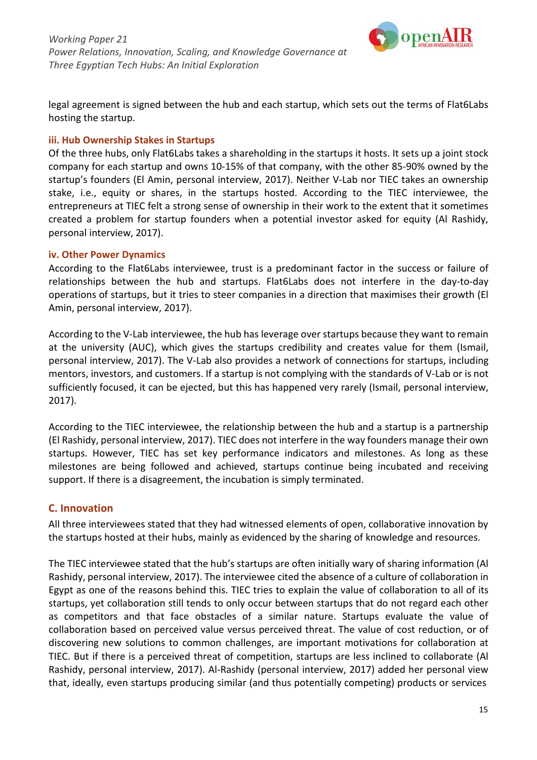<span id="page-15-1"></span>

legal agreement is signed between the hub and each startup, which sets out the terms of Flat6Labs hosting the startup.

#### <span id="page-15-0"></span>**iii. Hub Ownership Stakes in Startups**

Of the three hubs, only Flat6Labs takes a shareholding in the startups it hosts. It sets up a joint stock company for each startup and owns 10-15% of that company, with the other 85-90% owned by the startup's founders (El Amin, personal interview, 2017). Neither V-Lab nor TIEC takes an ownership stake, i.e., equity or shares, in the startups hosted. According to the TIEC interviewee, the entrepreneurs at TIEC felt a strong sense of ownership in their work to the extent that it sometimes created a problem for startup founders when a potential investor asked for equity (Al Rashidy, personal interview, 2017).

#### **iv. Other Power Dynamics**

According to the Flat6Labs interviewee, trust is a predominant factor in the success or failure of relationships between the hub and startups. Flat6Labs does not interfere in the day-to-day operations of startups, but it tries to steer companies in a direction that maximises their growth (El Amin, personal interview, 2017).

According to the V-Lab interviewee, the hub has leverage over startups because they want to remain at the university (AUC), which gives the startups credibility and creates value for them (Ismail, personal interview, 2017). The V-Lab also provides a network of connections for startups, including mentors, investors, and customers. If a startup is not complying with the standards of V-Lab or is not sufficiently focused, it can be ejected, but this has happened very rarely (Ismail, personal interview, 2017).

According to the TIEC interviewee, the relationship between the hub and a startup is a partnership (El Rashidy, personal interview, 2017). TIEC does not interfere in the way founders manage their own startups. However, TIEC has set key performance indicators and milestones. As long as these milestones are being followed and achieved, startups continue being incubated and receiving support. If there is a disagreement, the incubation is simply terminated.

#### <span id="page-15-2"></span>**C. Innovation**

All three interviewees stated that they had witnessed elements of open, collaborative innovation by the startups hosted at their hubs, mainly as evidenced by the sharing of knowledge and resources.

The TIEC interviewee stated that the hub's startups are often initially wary of sharing information (Al Rashidy, personal interview, 2017). The interviewee cited the absence of a culture of collaboration in Egypt as one of the reasons behind this. TIEC tries to explain the value of collaboration to all of its startups, yet collaboration still tends to only occur between startups that do not regard each other as competitors and that face obstacles of a similar nature. Startups evaluate the value of collaboration based on perceived value versus perceived threat. The value of cost reduction, or of discovering new solutions to common challenges, are important motivations for collaboration at TIEC. But if there is a perceived threat of competition, startups are less inclined to collaborate (Al Rashidy, personal interview, 2017). Al-Rashidy (personal interview, 2017) added her personal view that, ideally, even startups producing similar (and thus potentially competing) products or services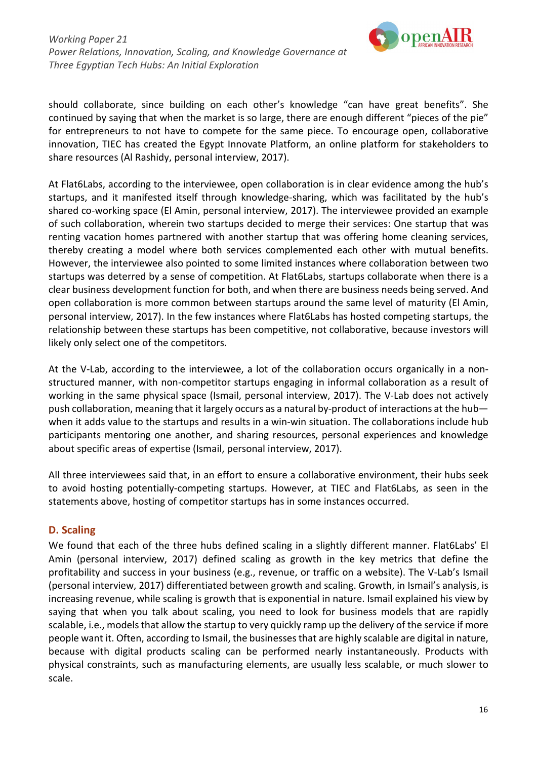

should collaborate, since building on each other's knowledge "can have great benefits". She continued by saying that when the market is so large, there are enough different "pieces of the pie" for entrepreneurs to not have to compete for the same piece. To encourage open, collaborative innovation, TIEC has created the Egypt Innovate Platform, an online platform for stakeholders to share resources (Al Rashidy, personal interview, 2017).

At Flat6Labs, according to the interviewee, open collaboration is in clear evidence among the hub's startups, and it manifested itself through knowledge-sharing, which was facilitated by the hub's shared co-working space (El Amin, personal interview, 2017). The interviewee provided an example of such collaboration, wherein two startups decided to merge their services: One startup that was renting vacation homes partnered with another startup that was offering home cleaning services, thereby creating a model where both services complemented each other with mutual benefits. However, the interviewee also pointed to some limited instances where collaboration between two startups was deterred by a sense of competition. At Flat6Labs, startups collaborate when there is a clear business development function for both, and when there are business needs being served. And open collaboration is more common between startups around the same level of maturity (El Amin, personal interview, 2017). In the few instances where Flat6Labs has hosted competing startups, the relationship between these startups has been competitive, not collaborative, because investors will likely only select one of the competitors.

At the V-Lab, according to the interviewee, a lot of the collaboration occurs organically in a nonstructured manner, with non-competitor startups engaging in informal collaboration as a result of working in the same physical space (Ismail, personal interview, 2017). The V-Lab does not actively push collaboration, meaning that it largely occurs as a natural by-product of interactions at the hub when it adds value to the startups and results in a win-win situation. The collaborations include hub participants mentoring one another, and sharing resources, personal experiences and knowledge about specific areas of expertise (Ismail, personal interview, 2017).

All three interviewees said that, in an effort to ensure a collaborative environment, their hubs seek to avoid hosting potentially-competing startups. However, at TIEC and Flat6Labs, as seen in the statements above, hosting of competitor startups has in some instances occurred.

#### <span id="page-16-0"></span>**D. Scaling**

We found that each of the three hubs defined scaling in a slightly different manner. Flat6Labs' El Amin (personal interview, 2017) defined scaling as growth in the key metrics that define the profitability and success in your business (e.g., revenue, or traffic on a website). The V-Lab's Ismail (personal interview, 2017) differentiated between growth and scaling. Growth, in Ismail's analysis, is increasing revenue, while scaling is growth that is exponential in nature. Ismail explained his view by saying that when you talk about scaling, you need to look for business models that are rapidly scalable, i.e., models that allow the startup to very quickly ramp up the delivery of the service if more people want it. Often, according to Ismail, the businessesthat are highly scalable are digital in nature, because with digital products scaling can be performed nearly instantaneously. Products with physical constraints, such as manufacturing elements, are usually less scalable, or much slower to scale.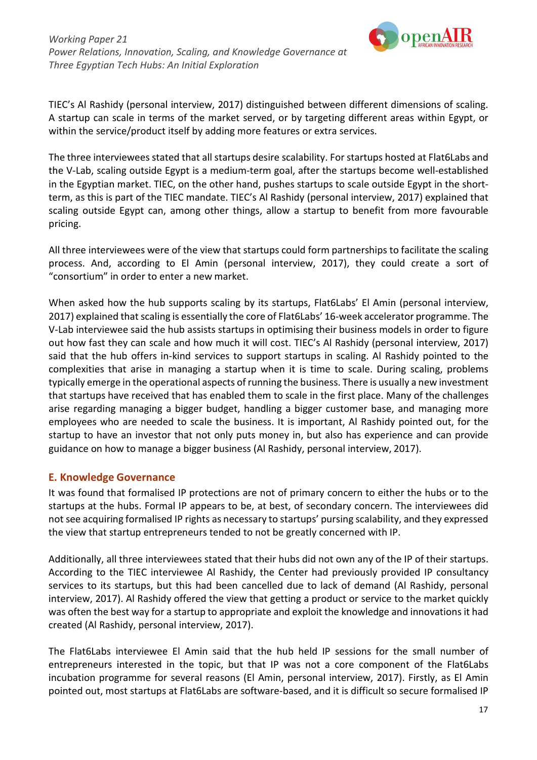

TIEC's Al Rashidy (personal interview, 2017) distinguished between different dimensions of scaling. A startup can scale in terms of the market served, or by targeting different areas within Egypt, or within the service/product itself by adding more features or extra services.

The three interviewees stated that all startups desire scalability. For startups hosted at Flat6Labs and the V-Lab, scaling outside Egypt is a medium-term goal, after the startups become well-established in the Egyptian market. TIEC, on the other hand, pushes startups to scale outside Egypt in the shortterm, as this is part of the TIEC mandate. TIEC's Al Rashidy (personal interview, 2017) explained that scaling outside Egypt can, among other things, allow a startup to benefit from more favourable pricing.

All three interviewees were of the view that startups could form partnerships to facilitate the scaling process. And, according to El Amin (personal interview, 2017), they could create a sort of "consortium" in order to enter a new market.

When asked how the hub supports scaling by its startups, Flat6Labs' El Amin (personal interview, 2017) explained that scaling is essentially the core of Flat6Labs' 16-week accelerator programme. The V-Lab interviewee said the hub assists startups in optimising their business models in order to figure out how fast they can scale and how much it will cost. TIEC's Al Rashidy (personal interview, 2017) said that the hub offers in-kind services to support startups in scaling. Al Rashidy pointed to the complexities that arise in managing a startup when it is time to scale. During scaling, problems typically emerge in the operational aspects of running the business. There is usually a new investment that startups have received that has enabled them to scale in the first place. Many of the challenges arise regarding managing a bigger budget, handling a bigger customer base, and managing more employees who are needed to scale the business. It is important, Al Rashidy pointed out, for the startup to have an investor that not only puts money in, but also has experience and can provide guidance on how to manage a bigger business (Al Rashidy, personal interview, 2017).

#### <span id="page-17-0"></span>**E. Knowledge Governance**

It was found that formalised IP protections are not of primary concern to either the hubs or to the startups at the hubs. Formal IP appears to be, at best, of secondary concern. The interviewees did not see acquiring formalised IP rights as necessary to startups' pursing scalability, and they expressed the view that startup entrepreneurs tended to not be greatly concerned with IP.

Additionally, all three interviewees stated that their hubs did not own any of the IP of their startups. According to the TIEC interviewee Al Rashidy, the Center had previously provided IP consultancy services to its startups, but this had been cancelled due to lack of demand (Al Rashidy, personal interview, 2017). Al Rashidy offered the view that getting a product or service to the market quickly was often the best way for a startup to appropriate and exploit the knowledge and innovations it had created (Al Rashidy, personal interview, 2017).

The Flat6Labs interviewee El Amin said that the hub held IP sessions for the small number of entrepreneurs interested in the topic, but that IP was not a core component of the Flat6Labs incubation programme for several reasons (El Amin, personal interview, 2017). Firstly, as El Amin pointed out, most startups at Flat6Labs are software-based, and it is difficult so secure formalised IP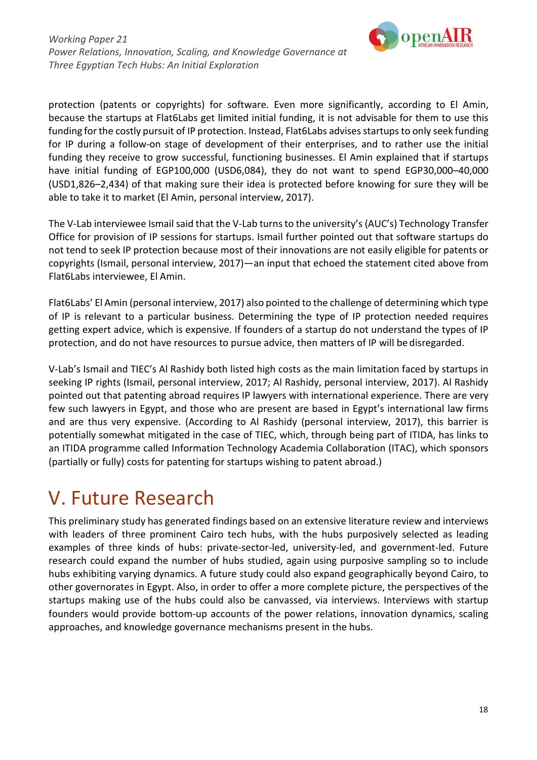

protection (patents or copyrights) for software. Even more significantly, according to El Amin, because the startups at Flat6Labs get limited initial funding, it is not advisable for them to use this funding for the costly pursuit of IP protection. Instead, Flat6Labs advises startups to only seek funding for IP during a follow-on stage of development of their enterprises, and to rather use the initial funding they receive to grow successful, functioning businesses. El Amin explained that if startups have initial funding of EGP100,000 (USD6,084), they do not want to spend EGP30,000–40,000 (USD1,826–2,434) of that making sure their idea is protected before knowing for sure they will be able to take it to market (El Amin, personal interview, 2017).

The V-Lab interviewee Ismailsaid that the V-Lab turnsto the university's (AUC's) Technology Transfer Office for provision of IP sessions for startups. Ismail further pointed out that software startups do not tend to seek IP protection because most of their innovations are not easily eligible for patents or copyrights (Ismail, personal interview, 2017)—an input that echoed the statement cited above from Flat6Labs interviewee, El Amin.

Flat6Labs' El Amin (personal interview, 2017) also pointed to the challenge of determining which type of IP is relevant to a particular business. Determining the type of IP protection needed requires getting expert advice, which is expensive. If founders of a startup do not understand the types of IP protection, and do not have resources to pursue advice, then matters of IP will be disregarded.

V-Lab's Ismail and TIEC's Al Rashidy both listed high costs as the main limitation faced by startups in seeking IP rights (Ismail, personal interview, 2017; Al Rashidy, personal interview, 2017). Al Rashidy pointed out that patenting abroad requires IP lawyers with international experience. There are very few such lawyers in Egypt, and those who are present are based in Egypt's international law firms and are thus very expensive. (According to Al Rashidy (personal interview, 2017), this barrier is potentially somewhat mitigated in the case of TIEC, which, through being part of ITIDA, has links to an ITIDA programme called Information Technology Academia Collaboration (ITAC), which sponsors (partially or fully) costs for patenting for startups wishing to patent abroad.)

## <span id="page-18-0"></span>V. Future Research

This preliminary study has generated findings based on an extensive literature review and interviews with leaders of three prominent Cairo tech hubs, with the hubs purposively selected as leading examples of three kinds of hubs: private-sector-led, university-led, and government-led. Future research could expand the number of hubs studied, again using purposive sampling so to include hubs exhibiting varying dynamics. A future study could also expand geographically beyond Cairo, to other governorates in Egypt. Also, in order to offer a more complete picture, the perspectives of the startups making use of the hubs could also be canvassed, via interviews. Interviews with startup founders would provide bottom-up accounts of the power relations, innovation dynamics, scaling approaches, and knowledge governance mechanisms present in the hubs.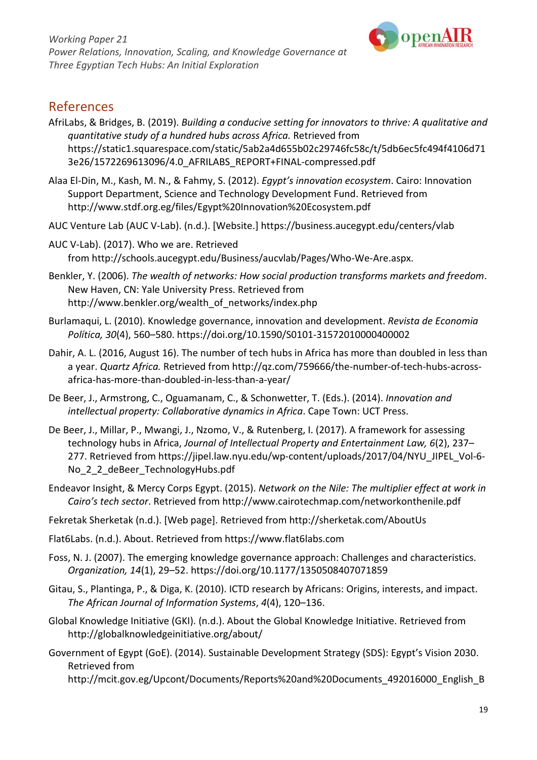

## <span id="page-19-0"></span>References

- AfriLabs, & Bridges, B. (2019). *Building a conducive setting for innovators to thrive: A qualitative and quantitative study of a hundred hubs across Africa.* Retrieved from https://static1.squarespace.com/static/5ab2a4d655b02c29746fc58c/t/5db6ec5fc494f4106d71 3e26/1572269613096/4.0\_AFRILABS\_REPORT+FINAL-compressed.pdf
- Alaa El-Din, M., Kash, M. N., & Fahmy, S. (2012). *Egypt's innovation ecosystem*. Cairo: Innovation Support Department, Science and Technology Development Fund. Retrieved fro[m](http://www.stdf.org.eg/files/Egypt%20Innovation%20Ecosystem.pdf) <http://www.stdf.org.eg/files/Egypt%20Innovation%20Ecosystem.pdf>
- AUC Venture Lab (AUC V-Lab). (n.d.). [Website.] https://business.aucegypt.edu/centers/vlab
- AUC V-Lab). (2017). Who we are. Retrieved from [http://schools.aucegypt.edu/Business/aucvlab/Pages/Who-We-Are.aspx.](http://schools.aucegypt.edu/Business/aucvlab/Pages/Who-We-Are.aspx)
- Benkler, Y. (2006). *The wealth of networks: How social production transforms markets and freedom*. New Haven, CN: Yale University Press. Retrieved fro[m](http://www.benkler.org/wealth_of_networks/index.php) [http://www.benkler.org/wealth\\_of\\_networks/index.php](http://www.benkler.org/wealth_of_networks/index.php)
- Burlamaqui, L. (2010). Knowledge governance, innovation and development. *Revista de Economia Política, 30*(4), 560–580. https://doi.org/10.1590/S0101-31572010000400002
- Dahir, A. L. (2016, August 16). The number of tech hubs in Africa has more than doubled in less than a year. *Quartz Africa.* Retrieved from [http://qz.com/759666/the-number-of-tech-hubs-across](http://qz.com/759666/the-number-of-tech-hubs-across-)africa-has-more-than-doubled-in-less-than-a-year/
- De Beer, J., Armstrong, C., Oguamanam, C., & Schonwetter, T. (Eds.). (2014). *Innovation and intellectual property: Collaborative dynamics in Africa*. Cape Town: UCT Press.
- De Beer, J., Millar, P., Mwangi, J., Nzomo, V., & Rutenberg, I. (2017). A framework for assessing technology hubs in Africa, *Journal of Intellectual Property and Entertainment Law, 6*(2), 237– 277. Retrieved from https://jipel.law.nyu.edu/wp-content/uploads/2017/04/NYU\_JIPEL\_Vol-6- No 2 2 deBeer TechnologyHubs.pdf
- Endeavor Insight, & Mercy Corps Egypt. (2015). *Network on the Nile: The multiplier effect at work in Cairo's tech sector*. Retrieved from<http://www.cairotechmap.com/networkonthenile.pdf>
- Fekretak Sherketak (n.d.). [Web page]. Retrieved from<http://sherketak.com/AboutUs>
- Flat6Labs. (n.d.). About. Retrieved from https:/[/www.flat6labs.com](http://www.flat6labs.com/)
- Foss, N. J. (2007). The emerging knowledge governance approach: Challenges and characteristics. *Organization, 14*(1), 29–52. https://doi.org/10.1177/1350508407071859
- Gitau, S., Plantinga, P., & Diga, K. (2010). ICTD research by Africans: Origins, interests, and impact. *The African Journal of Information Systems*, *4*(4), 120–136.
- Global Knowledge Initiative (GKI). (n.d.). About the Global Knowledge Initiative. Retrieved from <http://globalknowledgeinitiative.org/about/>
- Government of Egypt (GoE). (2014). Sustainable Development Strategy (SDS): Egypt's Vision 2030. Retrieved from

[http://mcit.gov.eg/Upcont/Documents/Reports%20and%20Documents\\_492016000\\_English\\_B](http://mcit.gov.eg/Upcont/Documents/Reports%20and%20Documents_492016000_English_B)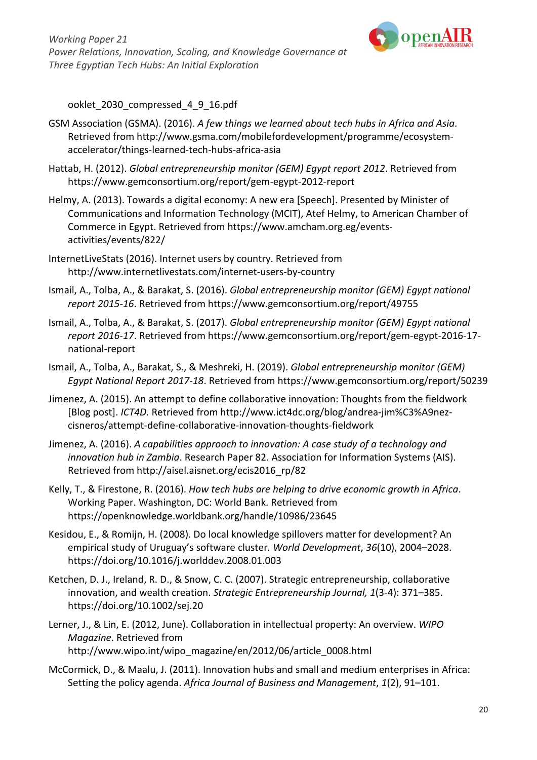

ooklet\_2030\_compressed\_4\_9\_16.pdf

- GSM Association (GSMA). (2016). *A few things we learned about tech hubs in Africa and Asia*. Retrieved fro[m http://www.gsma.com/mobilefordevelopment/programme/ecosystem](http://www.gsma.com/mobilefordevelopment/programme/ecosystem-)accelerator/things-learned-tech-hubs-africa-asia
- Hattab, H. (2012). *Global entrepreneurship monitor (GEM) Egypt report 2012*. Retrieved from https:[//www.gemconsortium.org/report/gem-egypt-2012-report](http://www.gemconsortium.org/report/gem-egypt-2012-report)
- Helmy, A. (2013). Towards a digital economy: A new era [Speech]. Presented by Minister of Communications and Information Technology (MCIT), Atef Helmy, to American Chamber of Commerce in Egypt. Retrieved from https:/[/www.amcham.org.eg/events](http://www.amcham.org.eg/events-)activities/events/822/
- InternetLiveStats (2016). Internet users by country. Retrieved from <http://www.internetlivestats.com/internet-users-by-country>
- Ismail, A., Tolba, A., & Barakat, S. (2016). *Global entrepreneurship monitor (GEM) Egypt national report 2015-16*. Retrieved from https[://www.gemconsortium.org/report/49755](http://www.gemconsortium.org/report/49755)
- Ismail, A., Tolba, A., & Barakat, S. (2017). *Global entrepreneurship monitor (GEM) Egypt national report 2016-17*. Retrieved from https[://www.gemconsortium.org/report/gem-egypt-2016-17](http://www.gemconsortium.org/report/gem-egypt-2016-17-) national-report
- Ismail, A., Tolba, A., Barakat, S., & Meshreki, H. (2019). *Global entrepreneurship monitor (GEM) Egypt National Report 2017-18*. Retrieved from https:[//www.gemconsortium.org/report/50239](http://www.gemconsortium.org/report/50239)
- Jimenez, A. (2015). An attempt to define collaborative innovation: Thoughts from the fieldwork [Blog post]. *ICT4D.* Retrieved from [http://www.ict4dc.org/blog/andrea-jim%C3%A9nez](http://www.ict4dc.org/blog/andrea-jim%C3%A9nez-)cisneros/attempt-define-collaborative-innovation-thoughts-fieldwork
- Jimenez, A. (2016). *A capabilities approach to innovation: A case study of a technology and innovation hub in Zambia*. Research Paper 82. Association for Information Systems (AIS). Retrieved fro[m http://aisel.aisnet.org/ecis2016\\_rp/82](http://aisel.aisnet.org/ecis2016_rp/82)
- Kelly, T., & Firestone, R. (2016). *How tech hubs are helping to drive economic growth in Africa*. Working Paper. Washington, DC: World Bank. Retrieved from https://openknowledge.worldbank.org/handle/10986/23645
- Kesidou, E., & Romijn, H. (2008). Do local knowledge spillovers matter for development? An empirical study of Uruguay's software cluster*. World Development*, *36*(10), 2004–2028. https://doi.org/10.1016/j.worlddev.2008.01.003
- Ketchen, D. J., Ireland, R. D., & Snow, C. C. (2007). Strategic entrepreneurship, collaborative innovation, and wealth creation. *Strategic Entrepreneurship Journal, 1*(3-4): 371–385. https://doi.org/10.1002/sej.20
- Lerner, J., & Lin, E. (2012, June). Collaboration in intellectual property: An overview. *WIPO Magazine*. Retrieved fro[m](http://www.wipo.int/wipo_magazine/en/2012/06/article_0008.html) [http://www.wipo.int/wipo\\_magazine/en/2012/06/article\\_0008.html](http://www.wipo.int/wipo_magazine/en/2012/06/article_0008.html)
- McCormick, D., & Maalu, J. (2011). Innovation hubs and small and medium enterprises in Africa: Setting the policy agenda. *Africa Journal of Business and Management*, *1*(2), 91–101.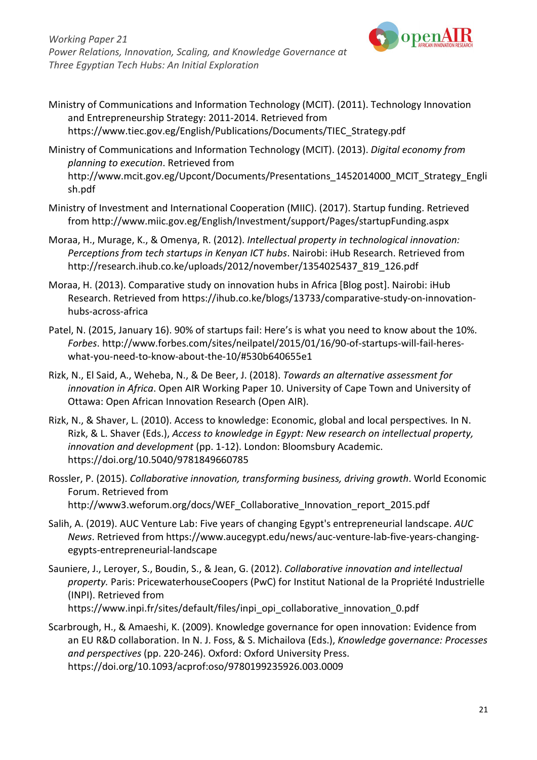

- Ministry of Communications and Information Technology (MCIT). (2011). Technology Innovation and Entrepreneurship Strategy: 2011-2014. Retrieved from https:[//www.tiec.gov.eg/English/Publications/Documents/TIEC\\_Strategy.pdf](http://www.tiec.gov.eg/English/Publications/Documents/TIEC_Strategy.pdf)
- Ministry of Communications and Information Technology (MCIT). (2013). *Digital economy from planning to execution*. Retrieved from [http://www.mcit.gov.eg/Upcont/Documents/Presentations\\_1452014000\\_MCIT\\_Strategy\\_Engli](http://www.mcit.gov.eg/Upcont/Documents/Presentations_1452014000_MCIT_Strategy_Engli) sh.pdf
- Ministry of Investment and International Cooperation (MIIC). (2017). Startup funding. Retrieved from<http://www.miic.gov.eg/English/Investment/support/Pages/startupFunding.aspx>
- Moraa, H., Murage, K., & Omenya, R. (2012). *Intellectual property in technological innovation: Perceptions from tech startups in Kenyan ICT hubs*. Nairobi: iHub Research. Retrieved fro[m](http://research.ihub.co.ke/uploads/2012/november/1354025437_819_126.pdf) [http://research.ihub.co.ke/uploads/2012/november/1354025437\\_819\\_126.pdf](http://research.ihub.co.ke/uploads/2012/november/1354025437_819_126.pdf)
- Moraa, H. (2013). Comparative study on innovation hubs in Africa [Blog post]. Nairobi: iHub Research. Retrieved from [https://ihub.co.ke/blogs/13733/comparative-study-on-innovation](https://ihub.co.ke/blogs/13733/comparative-study-on-innovation-hubs-across-africa)[hubs-across-africa](https://ihub.co.ke/blogs/13733/comparative-study-on-innovation-hubs-across-africa)
- Patel, N. (2015, January 16). 90% of startups fail: Here's is what you need to know about the 10%. *Forbes*[. http://www.forbes.com/sites/neilpatel/2015/01/16/90-of-startups-will-fail-heres](http://www.forbes.com/sites/neilpatel/2015/01/16/90-of-startups-will-fail-heres-what-you-need-to-know-about-the-10/#530b640655e1)[what-you-need-to-know-about-the-10/#530b640655e1](http://www.forbes.com/sites/neilpatel/2015/01/16/90-of-startups-will-fail-heres-what-you-need-to-know-about-the-10/#530b640655e1)
- Rizk, N., El Said, A., Weheba, N., & De Beer, J. (2018). *Towards an alternative assessment for innovation in Africa*. Open AIR Working Paper 10. University of Cape Town and University of Ottawa: Open African Innovation Research (Open AIR).
- Rizk, N., & Shaver, L. (2010). Access to knowledge: Economic, global and local perspectives*.* In N. Rizk, & L. Shaver (Eds.), *Access to knowledge in Egypt: New research on intellectual property, innovation and development* (pp. 1-12). London: Bloomsbury Academic. https://doi.org/10.5040/9781849660785
- Rossler, P. (2015). *Collaborative innovation, transforming business, driving growth*. World Economic Forum. Retrieved from [http://www3.weforum.org/docs/WEF\\_Collaborative\\_Innovation\\_report\\_2015.pdf](http://www3.weforum.org/docs/WEF_Collaborative_Innovation_report_2015.pdf)
- Salih, A. (2019). AUC Venture Lab: Five years of changing Egypt's entrepreneurial landscape. *AUC News*. Retrieved from https:[//www.aucegypt.edu/news/auc-venture-lab-five-years-changing](http://www.aucegypt.edu/news/auc-venture-lab-five-years-changing-)egypts-entrepreneurial-landscape
- Sauniere, J., Leroyer, S., Boudin, S., & Jean, G. (2012). *Collaborative innovation and intellectual property.* Paris: PricewaterhouseCoopers (PwC) for Institut National de la Propriété Industrielle (INPI). Retrieved from [https://www.inpi.fr/sites/default/files/inpi\\_opi\\_collaborative\\_innovation\\_0.pdf](https://www.inpi.fr/sites/default/files/inpi_opi_collaborative_innovation_0.pdf)
- Scarbrough, H., & Amaeshi, K. (2009). Knowledge governance for open innovation: Evidence from an EU R&D collaboration. In N. J. Foss, & S. Michailova (Eds.), *Knowledge governance: Processes and perspectives* (pp. 220-246). Oxford: Oxford University Press. https://doi.org/10.1093/acprof:oso/9780199235926.003.0009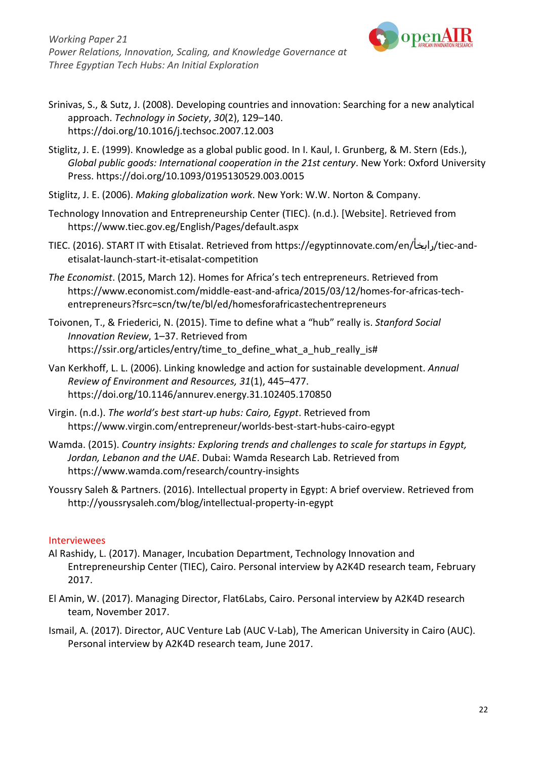

- Srinivas, S., & Sutz, J. (2008). Developing countries and innovation: Searching for a new analytical approach. *Technology in Society*, *30*(2), 129–140. https://doi.org/10.1016/j.techsoc.2007.12.003
- Stiglitz, J. E. (1999). Knowledge as a global public good. In I. Kaul, I. Grunberg, & M. Stern (Eds.), *Global public goods: International cooperation in the 21st century*. New York: Oxford University Press. https://doi.org/10.1093/0195130529.003.0015
- Stiglitz, J. E. (2006). *Making globalization work*. New York: W.W. Norton & Company.
- Technology Innovation and Entrepreneurship Center (TIEC). (n.d.). [Website]. Retrieved from https:[//www.tiec.gov.eg/English/Pages/default.aspx](http://www.tiec.gov.eg/English/Pages/default.aspx)
- TIEC. (2016). START IT with Etisalat. Retrieved from https://egyptinnovate.com/en/رابخأ/tiec-andetisalat-launch-start-it-etisalat-competition
- *The Economist*. (2015, March 12). Homes for Africa's tech entrepreneurs. Retrieved from https:[//www.economist.com/middle-east-and-africa/2015/03/12/homes-for-africas-tech](http://www.economist.com/middle-east-and-africa/2015/03/12/homes-for-africas-tech-)entrepreneurs?fsrc=scn/tw/te/bl/ed/homesforafricastechentrepreneurs
- Toivonen, T., & Friederici, N. (2015). Time to define what a "hub" really is. *Stanford Social Innovation Review*, 1–37. Retrieved from https://ssir.org/articles/entry/time\_to\_define\_what\_a\_hub\_really\_is#
- Van Kerkhoff, L. L. (2006). Linking knowledge and action for sustainable development. *Annual Review of Environment and Resources, 31*(1), 445–477. https://doi.org/10.1146/annurev.energy.31.102405.170850
- Virgin. (n.d.). *The world's best start-up hubs: Cairo, Egypt*. Retrieved from https:[//www.virgin.com/entrepreneur/worlds-best-start-hubs-cairo-egypt](http://www.virgin.com/entrepreneur/worlds-best-start-hubs-cairo-egypt)
- Wamda. (2015). *Country insights: Exploring trends and challenges to scale for startups in Egypt, Jordan, Lebanon and the UAE*. Dubai: Wamda Research Lab. Retrieved from https:[//www.wamda.com/research/country-insights](http://www.wamda.com/research/country-insights)
- Youssry Saleh & Partners. (2016). Intellectual property in Egypt: A brief overview. Retrieved from <http://youssrysaleh.com/blog/intellectual-property-in-egypt>

#### Interviewees

- Al Rashidy, L. (2017). Manager, Incubation Department, Technology Innovation and Entrepreneurship Center (TIEC), Cairo. Personal interview by A2K4D research team, February 2017.
- El Amin, W. (2017). Managing Director, Flat6Labs, Cairo. Personal interview by A2K4D research team, November 2017.
- Ismail, A. (2017). Director, AUC Venture Lab (AUC V-Lab), The American University in Cairo (AUC). Personal interview by A2K4D research team, June 2017.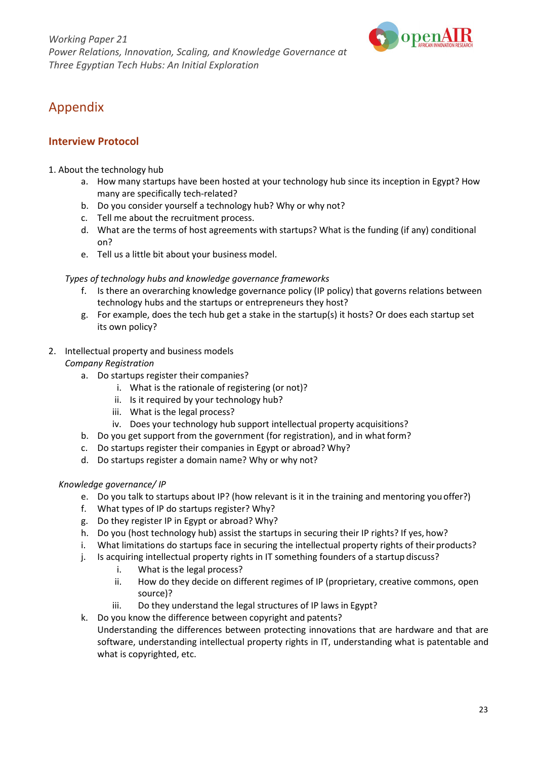

## <span id="page-23-0"></span>Appendix

#### <span id="page-23-1"></span>**Interview Protocol**

- 1. About the technology hub
	- a. How many startups have been hosted at your technology hub since its inception in Egypt? How many are specifically tech-related?
	- b. Do you consider yourself a technology hub? Why or why not?
	- c. Tell me about the recruitment process.
	- d. What are the terms of host agreements with startups? What is the funding (if any) conditional on?
	- e. Tell us a little bit about your business model.

#### *Types of technology hubs and knowledge governance frameworks*

- f. Is there an overarching knowledge governance policy (IP policy) that governs relations between technology hubs and the startups or entrepreneurs they host?
- g. For example, does the tech hub get a stake in the startup(s) it hosts? Or does each startup set its own policy?
- 2. Intellectual property and business models
	- *Company Registration*
		- a. Do startups register their companies?
			- i. What is the rationale of registering (or not)?
			- ii. Is it required by your technology hub?
			- iii. What is the legal process?
			- iv. Does your technology hub support intellectual property acquisitions?
		- b. Do you get support from the government (for registration), and in what form?
		- c. Do startups register their companies in Egypt or abroad? Why?
		- d. Do startups register a domain name? Why or why not?

#### *Knowledge governance/ IP*

- e. Do you talk to startups about IP? (how relevant is it in the training and mentoring youoffer?)
- f. What types of IP do startups register? Why?
- g. Do they register IP in Egypt or abroad? Why?
- h. Do you (host technology hub) assist the startups in securing their IP rights? If yes, how?
- i. What limitations do startups face in securing the intellectual property rights of their products?
- j. Is acquiring intellectual property rights in IT something founders of a startup discuss?
	- i. What is the legal process?
	- ii. How do they decide on different regimes of IP (proprietary, creative commons, open source)?
	- iii. Do they understand the legal structures of IP laws in Egypt?
- k. Do you know the difference between copyright and patents? Understanding the differences between protecting innovations that are hardware and that are software, understanding intellectual property rights in IT, understanding what is patentable and what is copyrighted, etc.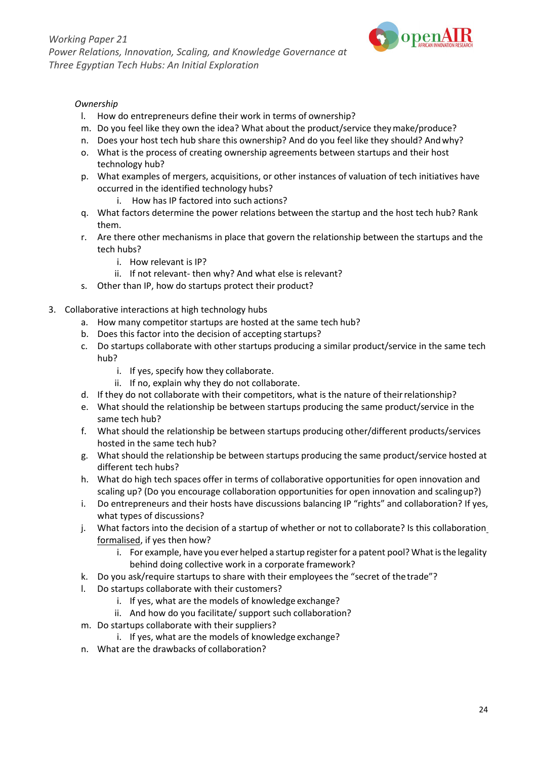

#### *Ownership*

- l. How do entrepreneurs define their work in terms of ownership?
- m. Do you feel like they own the idea? What about the product/service theymake/produce?
- n. Does your host tech hub share this ownership? And do you feel like they should? Andwhy?
- o. What is the process of creating ownership agreements between startups and their host technology hub?
- p. What examples of mergers, acquisitions, or other instances of valuation of tech initiatives have occurred in the identified technology hubs?
	- i. How has IP factored into such actions?
- q. What factors determine the power relations between the startup and the host tech hub? Rank them.
- r. Are there other mechanisms in place that govern the relationship between the startups and the tech hubs?
	- i. How relevant is IP?
	- ii. If not relevant- then why? And what else is relevant?
- s. Other than IP, how do startups protect their product?
- 3. Collaborative interactions at high technology hubs
	- a. How many competitor startups are hosted at the same tech hub?
	- b. Does this factor into the decision of accepting startups?
	- c. Do startups collaborate with other startups producing a similar product/service in the same tech hub?
		- i. If yes, specify how they collaborate.
		- ii. If no, explain why they do not collaborate.
	- d. If they do not collaborate with their competitors, what is the nature of theirrelationship?
	- e. What should the relationship be between startups producing the same product/service in the same tech hub?
	- f. What should the relationship be between startups producing other/different products/services hosted in the same tech hub?
	- g. What should the relationship be between startups producing the same product/service hosted at different tech hubs?
	- h. What do high tech spaces offer in terms of collaborative opportunities for open innovation and scaling up? (Do you encourage collaboration opportunities for open innovation and scalingup?)
	- i. Do entrepreneurs and their hosts have discussions balancing IP "rights" and collaboration? If yes, what types of discussions?
	- j. What factors into the decision of a startup of whether or not to collaborate? Is this collaboration formalised, if yes then how?
		- i. For example, have you ever helped a startup register for a patent pool? What is the legality behind doing collective work in a corporate framework?
	- k. Do you ask/require startups to share with their employees the "secret of thetrade"?
	- l. Do startups collaborate with their customers?
		- i. If yes, what are the models of knowledge exchange?
		- ii. And how do you facilitate/ support such collaboration?
	- m. Do startups collaborate with their suppliers?
		- i. If yes, what are the models of knowledge exchange?
	- n. What are the drawbacks of collaboration?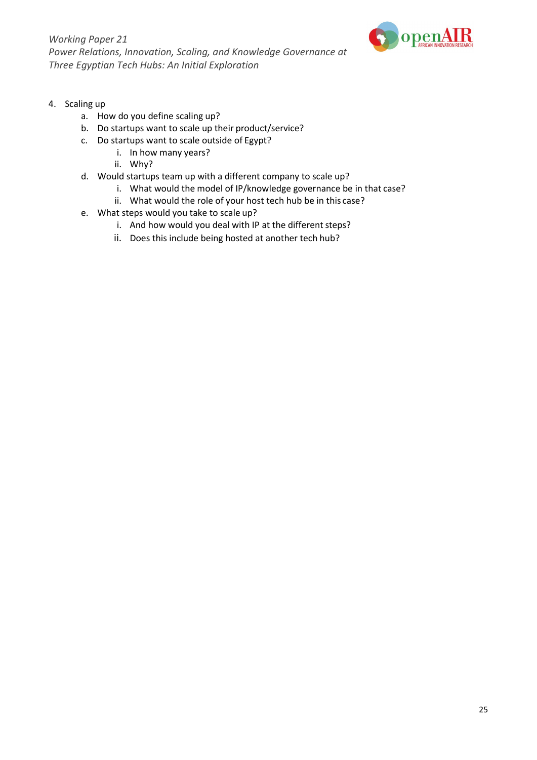

- 4. Scaling up
	- a. How do you define scaling up?
	- b. Do startups want to scale up their product/service?
	- c. Do startups want to scale outside of Egypt?
		- i. In how many years?
		- ii. Why?
	- d. Would startups team up with a different company to scale up?
		- i. What would the model of IP/knowledge governance be in that case?
		- ii. What would the role of your host tech hub be in this case?
	- e. What steps would you take to scale up?
		- i. And how would you deal with IP at the different steps?
		- ii. Does this include being hosted at another tech hub?